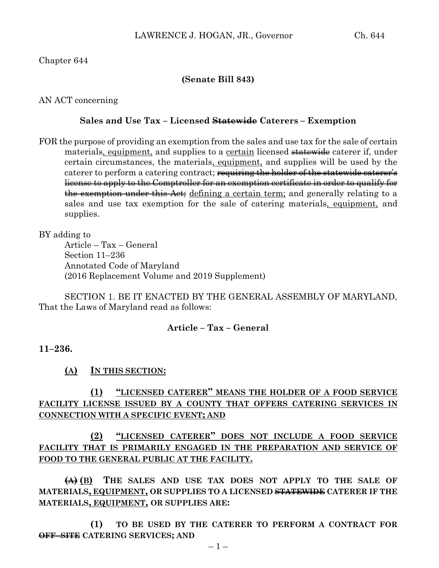## Chapter 644

### **(Senate Bill 843)**

AN ACT concerning

#### **Sales and Use Tax – Licensed Statewide Caterers – Exemption**

FOR the purpose of providing an exemption from the sales and use tax for the sale of certain materials, equipment, and supplies to a certain licensed statewide caterer if, under certain circumstances, the materials, equipment, and supplies will be used by the caterer to perform a catering contract; requiring the holder of the statewide caterer's license to apply to the Comptroller for an exemption certificate in order to qualify for the exemption under this Act; defining a certain term; and generally relating to a sales and use tax exemption for the sale of catering materials, equipment, and supplies.

BY adding to

Article – Tax – General Section 11–236 Annotated Code of Maryland (2016 Replacement Volume and 2019 Supplement)

SECTION 1. BE IT ENACTED BY THE GENERAL ASSEMBLY OF MARYLAND, That the Laws of Maryland read as follows:

### **Article – Tax – General**

### **11–236.**

### **(A) IN THIS SECTION:**

# **(1) "LICENSED CATERER" MEANS THE HOLDER OF A FOOD SERVICE FACILITY LICENSE ISSUED BY A COUNTY THAT OFFERS CATERING SERVICES IN CONNECTION WITH A SPECIFIC EVENT; AND**

# **(2) "LICENSED CATERER" DOES NOT INCLUDE A FOOD SERVICE FACILITY THAT IS PRIMARILY ENGAGED IN THE PREPARATION AND SERVICE OF FOOD TO THE GENERAL PUBLIC AT THE FACILITY.**

**(A) (B) THE SALES AND USE TAX DOES NOT APPLY TO THE SALE OF MATERIALS, EQUIPMENT, OR SUPPLIES TO A LICENSED STATEWIDE CATERER IF THE MATERIALS, EQUIPMENT, OR SUPPLIES ARE:**

**(1) TO BE USED BY THE CATERER TO PERFORM A CONTRACT FOR OFF–SITE CATERING SERVICES; AND**